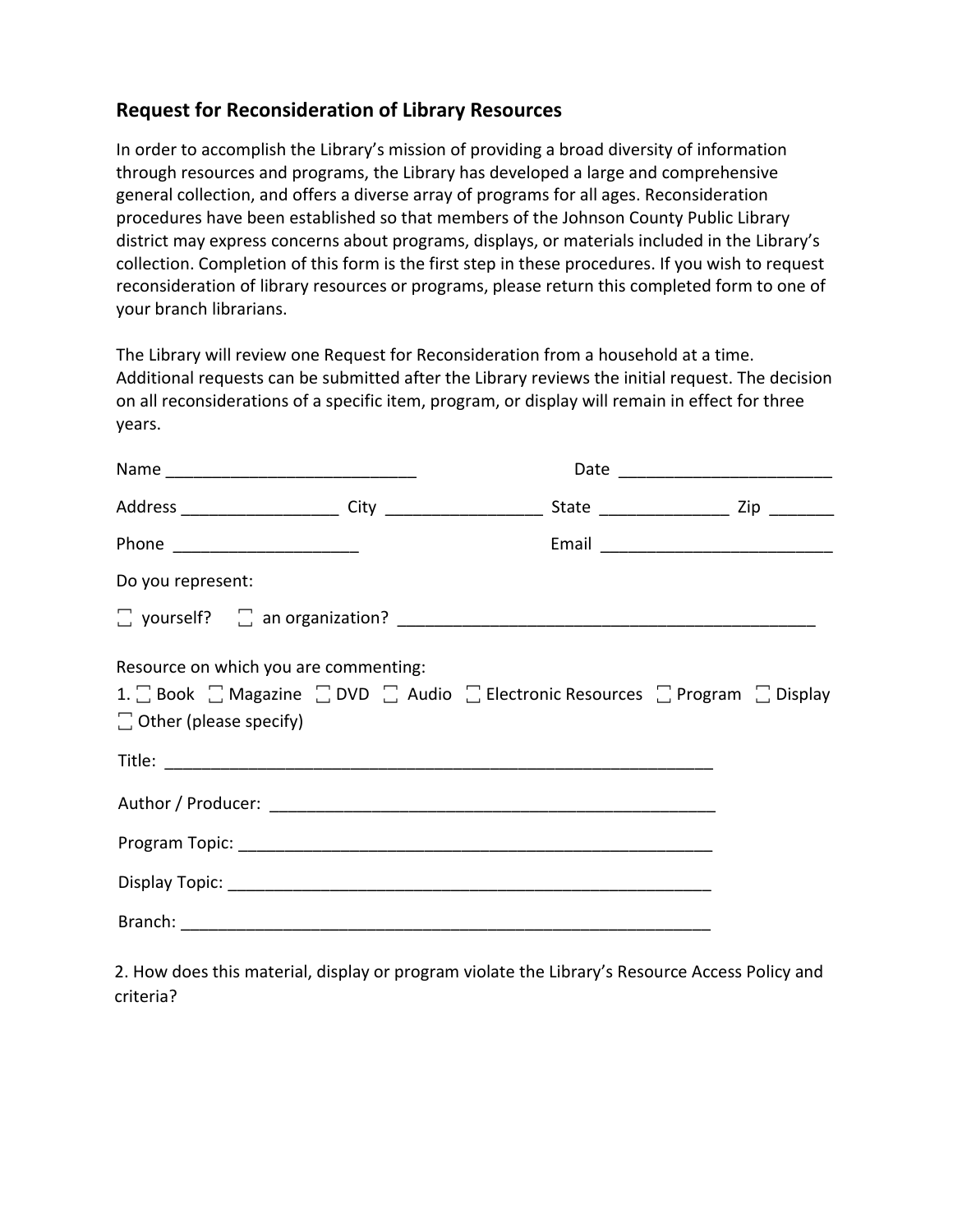## **Request for Reconsideration of Library Resources**

In order to accomplish the Library's mission of providing a broad diversity of information through resources and programs, the Library has developed a large and comprehensive general collection, and offers a diverse array of programs for all ages. Reconsideration procedures have been established so that members of the Johnson County Public Library district may express concerns about programs, displays, or materials included in the Library's collection. Completion of this form is the first step in these procedures. If you wish to request reconsideration of library resources or programs, please return this completed form to one of your branch librarians.

The Library will review one Request for Reconsideration from a household at a time. Additional requests can be submitted after the Library reviews the initial request. The decision on all reconsiderations of a specific item, program, or display will remain in effect for three years.

|                                                                        |                                                                                                                  | Date _____________________________ |
|------------------------------------------------------------------------|------------------------------------------------------------------------------------------------------------------|------------------------------------|
|                                                                        | Address ________________________City _________________________State ______________________Zip ___________        |                                    |
|                                                                        |                                                                                                                  |                                    |
| Do you represent:                                                      |                                                                                                                  |                                    |
|                                                                        |                                                                                                                  |                                    |
| Resource on which you are commenting:<br>$\Box$ Other (please specify) | 1. $\Box$ Book $\Box$ Magazine $\Box$ DVD $\Box$ Audio $\Box$ Electronic Resources $\Box$ Program $\Box$ Display |                                    |
|                                                                        |                                                                                                                  |                                    |
|                                                                        |                                                                                                                  |                                    |
|                                                                        |                                                                                                                  |                                    |
|                                                                        |                                                                                                                  |                                    |

2. How does this material, display or program violate the Library's Resource Access Policy and criteria?